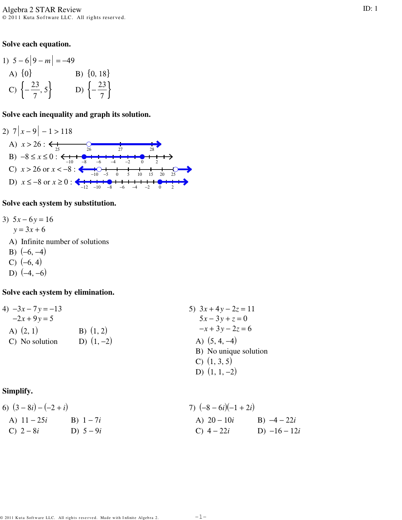#### Solve each equation.

1) 
$$
5-6|9-m| = -49
$$
  
\nA)  $\{0\}$   
\nB)  $\{0, 18\}$   
\nC)  $\{-\frac{23}{7}, 5\}$   
\nD)  $\{-\frac{23}{7}\}$ 

#### Solve each inequality and graph its solution.



#### Solve each system by substitution.

- 3)  $5x 6y = 16$ 
	- $y = 3x + 6$
	- A) Infinite number of solutions
	- B)  $(-6, -4)$
	- $C) (-6, 4)$
	- D)  $(-4, -6)$

### Solve each system by elimination.

| 4) $-3x - 7y = -13$   | 5) $3x + 4y - 2z = 11$ |                    |
|-----------------------|------------------------|--------------------|
| $-2x + 9y = 5$        | 5x - 3y + z = 0        |                    |
| A) (2, 1)             | B) (1, 2)              | $-x + 3y - 2z = 6$ |
| C) No solution        | D) (1, -2)             | A) (5, 4, -4)      |
| B) No unique solution | C) (1, 3, 5)           |                    |
| D) (1, 1, -2)         |                        |                    |

# Simplify.

6) 
$$
(3-8i) - (-2+i)
$$
  
\nA)  $11-25i$   
\nB)  $1-7i$   
\nC)  $2-8i$   
\nD)  $5-9i$   
\nE)  $5-9i$   
\nE)  $5-9i$   
\nE)  $4-22i$   
\nE)  $4-22i$   
\nE)  $-16-12i$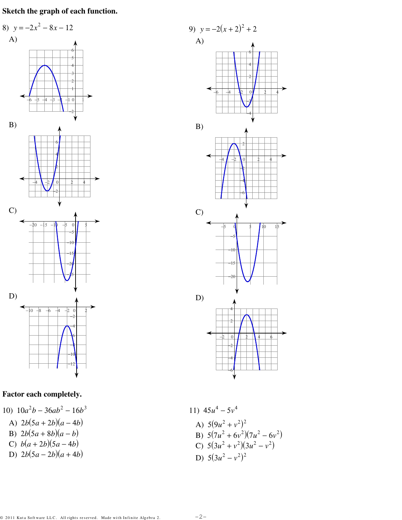Sketch the graph of each function.



# Factor each completely.

10)  $10a^2b - 36ab^2 - 16b^3$ 

A) 
$$
2b(5a+2b)(a-4b)
$$

- B)  $2b(5a+8b)(a-b)$ <br>
C)  $b(a+2b)(5a-4b)$
- 

$$
D) \quad 2b(5a-2b)(a+4b)
$$



11) 
$$
45u^4 - 5v^4
$$
  
\nA)  $5(9u^2 + v^2)^2$   
\nB)  $5(7u^2 + 6v^2)(7u^2 - 6v^2)$   
\nC)  $5(3u^2 + v^2)(3u^2 - v^2)$   
\nD)  $5(3u^2 - v^2)^2$ 

 $-2-$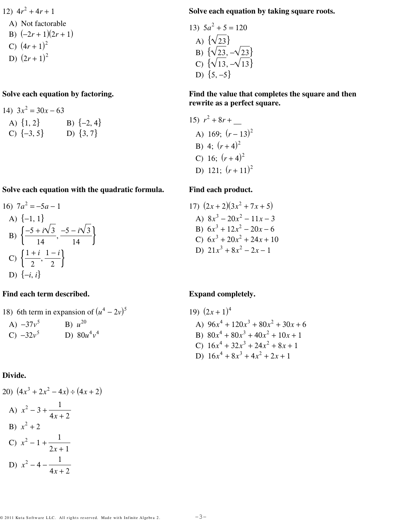12)  $4r^2 + 4r + 1$ 

A) Not factorable  
B) 
$$
(-2r+1)(2r+1)
$$

- B)  $(-2r+1)(2r-$ <br>C)  $(4r+1)^2$
- D)  $(2r+1)^2$

# Solve each equation by factoring.

14) 
$$
3x^2 = 30x - 63
$$
  
A)  $\{1, 2\}$   
B)  $\{-2, 4\}$   
C)  $\{-3, 5\}$   
D)  $\{3, 7\}$ 

## Solve each equation with the quadratic formula.

16) 
$$
7a^2 = -5a - 1
$$
  
\nA)  $\{-1, 1\}$   
\nB)  $\left\{\frac{-5 + i\sqrt{3}}{14}, \frac{-5 - i\sqrt{3}}{14}\right\}$   
\nC)  $\left\{\frac{1 + i}{2}, \frac{1 - i}{2}\right\}$   
\nD)  $\{-i, i\}$ 

# Find each term described.

18) 6th term in expansion of 
$$
(u^4 - 2v)^5
$$
  
\nA) -37v<sup>5</sup>  
\nB)  $u^{20}$   
\nC) -32v<sup>5</sup>  
\nD) 80u<sup>4</sup>v<sup>4</sup>

#### Divide.

20) 
$$
(4x^3 + 2x^2 - 4x) \div (4x + 2)
$$
  
\nA)  $x^2 - 3 + \frac{1}{4x + 2}$   
\nB)  $x^2 + 2$   
\nC)  $x^2 - 1 + \frac{1}{2x + 1}$   
\nD)  $x^2 - 4 - \frac{1}{4x + 2}$ 

### Solve each equation by taking square roots.

13) 
$$
5a^2 + 5 = 120
$$
  
\nA)  $\{\sqrt{23}\}$   
\nB)  $\{\sqrt{23}, -\sqrt{23}\}$   
\nC)  $\{\sqrt{13}, -\sqrt{13}\}$   
\nD)  $\{5, -5\}$ 

### Find the value that completes the square and then rewrite as a perfect square.

15) 
$$
r^2 + 8r +
$$
  
\nA) 169;  $(r-13)^2$   
\nB) 4;  $(r+4)^2$   
\nC) 16;  $(r+4)^2$   
\nD) 121;  $(r+11)^2$ 

## Find each product.

17) 
$$
(2x+2)(3x^2+7x+5)
$$
  
\nA)  $8x^3 - 20x^2 - 11x - 3$   
\nB)  $6x^3 + 12x^2 - 20x - 6$   
\nC)  $6x^3 + 20x^2 + 24x + 10$   
\nD)  $21x^3 + 8x^2 - 2x - 1$ 

# **Expand completely.**

19) 
$$
(2x + 1)^4
$$
  
\nA)  $96x^4 + 120x^3 + 80x^2 + 30x + 6$   
\nB)  $80x^4 + 80x^3 + 40x^2 + 10x + 1$   
\nC)  $16x^4 + 32x^3 + 24x^2 + 8x + 1$   
\nD)  $16x^4 + 8x^3 + 4x^2 + 2x + 1$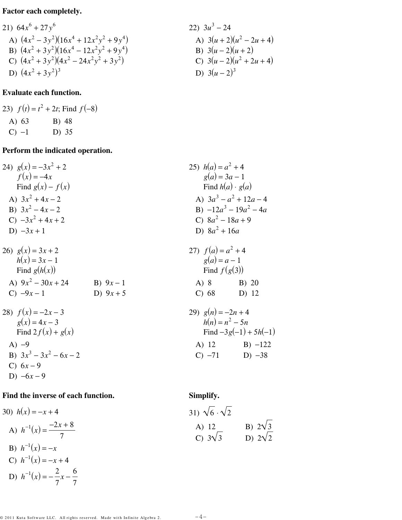# Factor each completely.

21) 
$$
64x^6 + 27y^6
$$
  
\n22)  $3u^3 - 24$   
\n23)  $3u^3 - 24$   
\n24)  $(4x^2 - 3y^2)(16x^4 + 12x^2y^2 + 9y^4)$   
\n25)  $(4x^2 + 3y^2)(16x^4 - 12x^2y^2 + 9y^4)$   
\n26)  $(4x^2 + 3y^2)(4x^2 - 24x^2y^2 + 3y^2)$   
\n27)  $3(u + 2)(u^2 - 2u + 4)$   
\n28)  $3(u + 2)(u^2 - 2u + 4)$   
\n29)  $3(u + 2)(u^2 - 2u + 4)$   
\n20)  $3(u - 2)(u + 2)$   
\n21)  $3(u + 2)(u^2 - 2u + 4)$   
\n22)  $3u^3 - 24$   
\n23)  $3u^3 - 24$   
\n24)  $3(u + 2)(u^2 - 2u + 4)$   
\n25)  $3(u - 2)(u + 2)$   
\n26)  $3(u - 2)(u + 2)$   
\n28)  $3(u - 2)(u + 2)$   
\n29)  $3(u + 2)(u^2 - 2u + 4)$   
\n20)  $3(u - 2)(u + 2)$ 

## **Evaluate each function.**

23) 
$$
f(t) = t^2 + 2t
$$
; Find  $f(-8)$   
A) 63  
B) 48  
C) -1  
D) 35

## Perform the indicated operation.

| 24) $g(x) = -3x^2 + 2$ | 25) $h(a) = a^2 + 4$      |
|------------------------|---------------------------|
| $f(x) = -4x$           | $g(a) = 3a - 1$           |
| 26) Find $g(x) - f(x)$ | Find $h(a) \cdot g(a)$    |
| A) $3x^2 + 4x - 2$     | A) $3a^3 - a^2 + 12a - 4$ |
| B) $3x^2 - 4x - 2$     | B) $-12a^3 - 19a^2 - 4a$  |
| C) $-3x^2 + 4x + 2$    | C) $8a^2 - 18a + 9$       |
| D) $-3x + 1$           | D) $8a^2 + 16a$           |

B) 
$$
9x - 1
$$
  
\nD)  $9x + 5$ 

28) 
$$
f(x) = -2x - 3
$$
  
\n $g(x) = 4x - 3$   
\nFind  $2f(x) + g(x)$   
\nA) -9  
\nB)  $3x^3 - 3x^2 - 6x - 2$   
\nC)  $6x - 9$   
\nD)  $-6x - 9$ 

26)  $g(x) = 3x + 2$ 

 $h(x) = 3x - 1$ 

Find  $g(h(x))$ 

C)  $-9x-1$ 

A)  $9x^2 - 30x + 24$ 

## Find the inverse of each function.

30) 
$$
h(x) = -x + 4
$$
  
\nA)  $h^{-1}(x) = \frac{-2x + 8}{7}$   
\nB)  $h^{-1}(x) = -x$   
\nC)  $h^{-1}(x) = -x + 4$   
\nD)  $h^{-1}(x) = -\frac{2}{7}x - \frac{6}{7}$ 

### Simplify.

27)  $f(a) = a^2 + 4$ 

 $A)$  8

 $C)$  68

 $g(a) = a - 1$ 

Find  $f(g(3))$ 

29)  $g(n) = -2n + 4$ <br> $h(n) = n^2 - 5n$ 

B) 20

 $D)$  12

Find  $-3g(-1) + 5h(-1)$ 

A) 12 B)  $-122$ C)  $-71$  D)  $-38$ 

| 31) $\sqrt{6} \cdot \sqrt{2}$ |                |
|-------------------------------|----------------|
| A) 12                         | B) $2\sqrt{3}$ |
| C) $3\sqrt{3}$                | D) $2\sqrt{2}$ |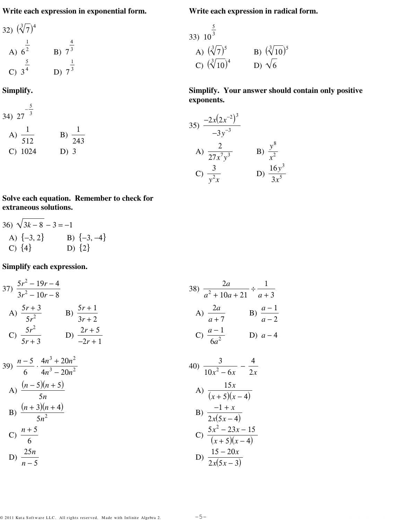**Write each expression in exponential form.**

**Write each expression in radical form.**

**Simplify. Your answer should contain only positive**

*y* 8 *x* 2

D)  $\frac{16y^3}{25}$  $3x^5$ 

A)  $(\sqrt[3]{7})^5$  B)  $(\sqrt[3]{10})^5$ 

C)  $(\sqrt[3]{10})^4$  D)  $\sqrt{6}$ 

 $\frac{1}{27x^7y^3}$  B)

33) 10

**exponents.**

35)  $\frac{-2x(2x^{-2})^3}{2}$ 

A)  $\frac{2}{25}$ 

C)  $\frac{3}{2}$  $y^2$ *x* 

−3*y* −3

5 3

32) 
$$
(\sqrt[3]{7})^4
$$
  
\nA)  $6^{\frac{1}{2}}$   
\nB)  $7^{\frac{4}{3}}$   
\nC)  $3^{\frac{5}{4}}$   
\nD)  $7^{\frac{1}{3}}$ 

**Simplify.**

34) 
$$
27^{-\frac{5}{3}}
$$
  
\nA)  $\frac{1}{512}$   
\nB)  $\frac{1}{243}$   
\nC) 1024  
\nD) 3

**Solve each equation. Remember to check for extraneous solutions.**

36) 
$$
\sqrt{3k-8} - 3 = -1
$$
  
A)  $\{-3, 2\}$   
B)  $\{-3, -4\}$   
C)  $\{4\}$   
D)  $\{2\}$ 

**Simplify each expression.**

37) 
$$
\frac{5r^2 - 19r - 4}{3r^2 - 10r - 8}
$$
  
\nA)  $\frac{5r + 3}{5r^2}$   
\nB)  $\frac{5r + 1}{3r + 2}$   
\nC)  $\frac{5r^2}{5r + 3}$   
\nD)  $\frac{2r + 5}{-2r + 1}$   
\n39)  $\frac{n - 5}{6} \cdot \frac{4n^3 + 20n^2}{4n^3 - 20n^2}$   
\nA)  $\frac{(n - 5)(n + 5)}{5n}$   
\nB)  $\frac{(n + 3)(n + 4)}{5n}$   
\nC)  $\frac{a - 1}{6a^2}$   
\nD)  $a - 4$   
\n313)  $\frac{n - 5}{6} \cdot \frac{4n^3 + 20n^2}{4n^3 - 20n^2}$   
\n42)  $\frac{3}{10x^2 - 6x} - \frac{4}{2x}$   
\n43)  $\frac{15x}{(x + 5)(x - 4)}$   
\n54)  $\frac{15x}{(x + 5)(x - 4)}$   
\n65)  $\frac{n + 5}{6}$   
\n66)  $\frac{5x^2 - 23x - 15}{(x + 5)(x - 4)}$   
\n67)  $\frac{25n}{n - 5}$   
\n71.  $\frac{15 - 20x}{x}$   
\n83)  $\frac{2a}{a^2 + 10a + 21} \div \frac{1}{a + 3}$   
\n94)  $\frac{a - 1}{a + 7}$   
\n100  $\frac{3}{2x(5x - 4)}$   
\n115x  
\n220x  
\n33x  
\n440  
\n55x  
\n66  
\n67  
\n68  
\n69  
\n11x  
\n12x  
\n13x  
\n220x  
\n23x - 15  
\n24x  
\n35x  
\n46x  
\n57x  
\n68x  
\n69  
\n10x<sup>2</sup> - 6x  
\n2x  
\n11x  
\n22x  
\n23x - 15  
\n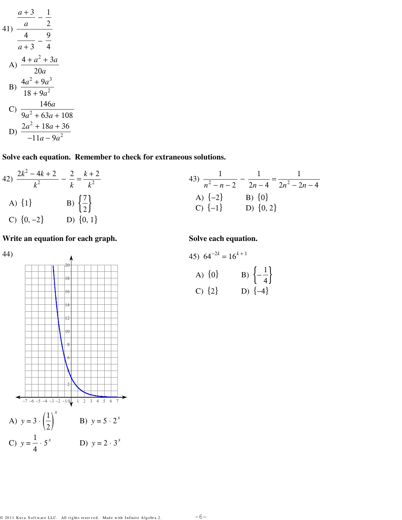$$
\frac{a+3}{a} - \frac{1}{2}
$$
\n41) 
$$
\frac{4}{a+3} - \frac{9}{4}
$$
\nA) 
$$
\frac{4+a^2+3a}{20a}
$$
\nB) 
$$
\frac{4a^2+9a^3}{18+9a^2}
$$
\nC) 
$$
\frac{146a}{9a^2+63a+108}
$$
\nD) 
$$
\frac{2a^2+18a+36}{-11a-9a^2}
$$

Solve each equation. Remember to check for extraneous solutions.

42) 
$$
\frac{2k^2 - 4k + 2}{k^2} - \frac{2}{k} = \frac{k+2}{k^2}
$$
  
\n43) 
$$
\frac{1}{n^2 - n - 2} - \frac{1}{2n - 4} = \frac{1}{2n^2 - 2n - 4}
$$
  
\n43) 
$$
\frac{1}{n^2 - n - 2} - \frac{1}{2n - 4} = \frac{1}{2n^2 - 2n - 4}
$$
  
\n44) 
$$
\{1\}
$$
  
\n45) 
$$
\{2\}
$$
  
\n46) 
$$
\{-2\}
$$
  
\n47) 
$$
\{0\}
$$
  
\n48) 
$$
\{-2\}
$$
  
\n49) 
$$
\{0\}
$$
  
\n50) 
$$
\{0, 2\}
$$
  
\n61) 
$$
\{0, 2\}
$$

Write an equation for each graph.



Solve each equation.

45) 
$$
64^{-2k} = 16^{k+1}
$$
  
\nA)  $\{0\}$   
\nB)  $\{-\frac{1}{4}\}$   
\nC)  $\{2\}$   
\nD)  $\{-4\}$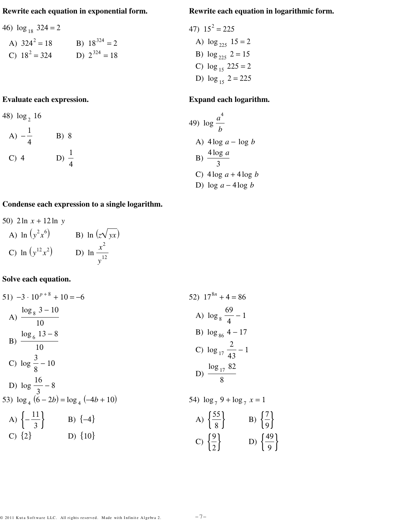#### Rewrite each equation in exponential form.

46) 
$$
\log_{18} 324 = 2
$$
  
\nA)  $324^2 = 18$   
\nB)  $18^{324} = 2$ 

C)  $18^2 = 324$  D)  $2^{324} = 18$ 

## Evaluate each expression.

48) 
$$
\log_2 16
$$
  
A)  $-\frac{1}{4}$  B) 8  
C) 4 D)  $\frac{1}{4}$ 

#### Rewrite each equation in logarithmic form.

47) 
$$
15^2 = 225
$$
  
\nA)  $\log_{225} 15 = 2$   
\nB)  $\log_{225} 2 = 15$   
\nC)  $\log_{15} 225 = 2$   
\nD)  $\log_{15} 2 = 225$ 

#### Expand each logarithm.

49) 
$$
\log \frac{a^4}{b}
$$
  
\nA)  $4\log a - \log b$   
\nB)  $\frac{4\log a}{3}$   
\nC)  $4\log a + 4\log b$   
\nD)  $\log a - 4\log b$ 

# Condense each expression to a single logarithm.

50) 
$$
2 \ln x + 12 \ln y
$$
  
\nA)  $\ln (y^2 x^6)$   
\nB)  $\ln (z \sqrt{yx})$   
\nC)  $\ln (y^{12} x^2)$   
\nD)  $\ln \frac{x^2}{y^{12}}$ 

## Solve each equation.

51) 
$$
-3 \cdot 10^{p+8} + 10 = -6
$$
  
\nA)  $\frac{\log_8 3 - 10}{10}$   
\nB)  $\frac{\log_6 13 - 8}{10}$   
\nC)  $\log \frac{3}{8} - 10$   
\nD)  $\log \frac{16}{3} - 8$   
\nE)  $\log_{4} (6 - 2b) = \log_4 (-4b + 10)$   
\nE)  $\log_{17} \frac{2}{43} - 1$   
\nE)  $\log_{17} \frac{2}{43} - 1$   
\nE)  $\log_{17} \frac{2}{43} - 1$   
\nE)  $\log \frac{16}{3}$   
\nE)  $\log_4 (6 - 2b) = \log_4 (-4b + 10)$   
\nE)  $\frac{\log_{17} 82}{8}$   
\nE)  $\left\{ -\frac{11}{3} \right\}$   
\nE)  $\left\{ -\frac{11}{3} \right\}$   
\nE)  $\left\{ -4 \right\}$   
\nE)  $\left\{ 9 \right\}$   
\nE)  $\left\{ \frac{7}{8} \right\}$   
\nE)  $\left\{ \frac{7}{9} \right\}$   
\nE)  $\left\{ \frac{49}{9} \right\}$ 

$$
C) \begin{Bmatrix} 8 \\ 2 \\ 2 \end{Bmatrix} \qquad D) \begin{Bmatrix} 49 \\ 9 \\ 9 \end{Bmatrix}
$$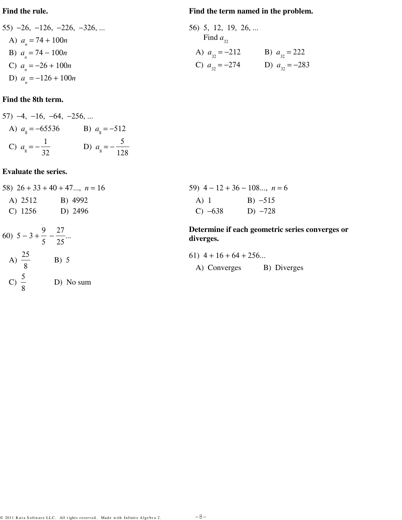#### Find the rule.

# 55)  $-26, -126, -226, -326, ...$ A)  $a_n = 74 + 100n$ B)  $a_n = 74 - 100n$ C)  $a_n = -26 + 100n$

D)  $a_n = -126 + 100n$ 

# Find the 8th term.

57) -4, -16, -64, -256, ...  
\nA) 
$$
a_g = -65536
$$
 \t\t B)  $a_g = -512$   
\nC)  $a_g = -\frac{1}{32}$  \t\t D)  $a_g = -\frac{5}{128}$ 

## **Evaluate the series.**

58) 
$$
26 + 33 + 40 + 47...
$$
,  $n = 16$   
\nA)  $2512$  \nB)  $4992$   
\nC)  $1256$  \nD)  $2496$   
\n60)  $5 - 3 + \frac{9}{5} - \frac{27}{25}...$   
\nA)  $\frac{25}{25}$  \nB)  $5$ 

C) 
$$
\frac{5}{8}
$$
 D) No sum

#### Find the term named in the problem.

| 56) 5, 12, 19, 26, |                    |
|--------------------|--------------------|
| Find $a_{32}$      |                    |
| A) $a_{32} = -212$ | B) $a_{32} = 222$  |
| C) $a_{32} = -274$ | D) $a_{32} = -283$ |

|           | 59) $4-12+36-108$ , $n=6$ |
|-----------|---------------------------|
| $A)$ 1    | $B) -515$                 |
| $C) -638$ | D) $-728$                 |

Determine if each geometric series converges or diverges.

\n- 61) 
$$
4 + 16 + 64 + 256...
$$
\n- A) Converges
\n- B) Diverges
\n